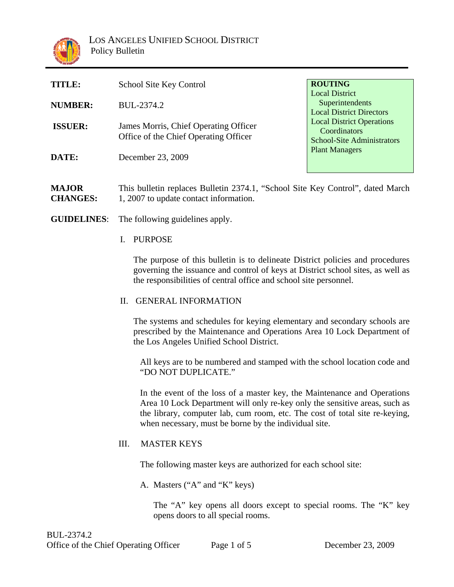

| TITLE:         | School Site Key Control                                                        | <b>ROUTING</b><br><b>Local District</b>                                                                                                     |
|----------------|--------------------------------------------------------------------------------|---------------------------------------------------------------------------------------------------------------------------------------------|
| <b>NUMBER:</b> | BUL-2374.2                                                                     | Superintendents<br><b>Local District Directors</b><br><b>Local District Operations</b><br>Coordinators<br><b>School-Site Administrators</b> |
| <b>ISSUER:</b> | James Morris, Chief Operating Officer<br>Office of the Chief Operating Officer |                                                                                                                                             |
| DATE:          | December 23, 2009                                                              | <b>Plant Managers</b>                                                                                                                       |
|                |                                                                                |                                                                                                                                             |

**MAJOR CHANGES:** This bulletin replaces Bulletin 2374.1, "School Site Key Control", dated March 1, 2007 to update contact information.

- **GUIDELINES**: The following guidelines apply.
	- I. PURPOSE

 The purpose of this bulletin is to delineate District policies and procedures governing the issuance and control of keys at District school sites, as well as the responsibilities of central office and school site personnel.

II. GENERAL INFORMATION

The systems and schedules for keying elementary and secondary schools are prescribed by the Maintenance and Operations Area 10 Lock Department of the Los Angeles Unified School District.

All keys are to be numbered and stamped with the school location code and "DO NOT DUPLICATE."

In the event of the loss of a master key, the Maintenance and Operations Area 10 Lock Department will only re-key only the sensitive areas, such as the library, computer lab, cum room, etc. The cost of total site re-keying, when necessary, must be borne by the individual site.

## III. MASTER KEYS

The following master keys are authorized for each school site:

A. Masters ("A" and "K" keys)

The "A" key opens all doors except to special rooms. The "K" key opens doors to all special rooms.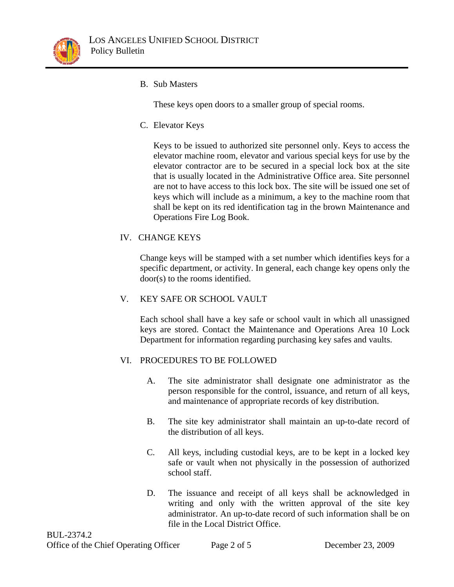

B. Sub Masters

These keys open doors to a smaller group of special rooms.

C. Elevator Keys

Keys to be issued to authorized site personnel only. Keys to access the elevator machine room, elevator and various special keys for use by the elevator contractor are to be secured in a special lock box at the site that is usually located in the Administrative Office area. Site personnel are not to have access to this lock box. The site will be issued one set of keys which will include as a minimum, a key to the machine room that shall be kept on its red identification tag in the brown Maintenance and Operations Fire Log Book.

IV. CHANGE KEYS

Change keys will be stamped with a set number which identifies keys for a specific department, or activity. In general, each change key opens only the door(s) to the rooms identified.

V. KEY SAFE OR SCHOOL VAULT

Each school shall have a key safe or school vault in which all unassigned keys are stored. Contact the Maintenance and Operations Area 10 Lock Department for information regarding purchasing key safes and vaults.

## VI. PROCEDURES TO BE FOLLOWED

- A. The site administrator shall designate one administrator as the person responsible for the control, issuance, and return of all keys, and maintenance of appropriate records of key distribution.
- B. The site key administrator shall maintain an up-to-date record of the distribution of all keys.
- C. All keys, including custodial keys, are to be kept in a locked key safe or vault when not physically in the possession of authorized school staff.
- D. The issuance and receipt of all keys shall be acknowledged in writing and only with the written approval of the site key administrator. An up-to-date record of such information shall be on file in the Local District Office.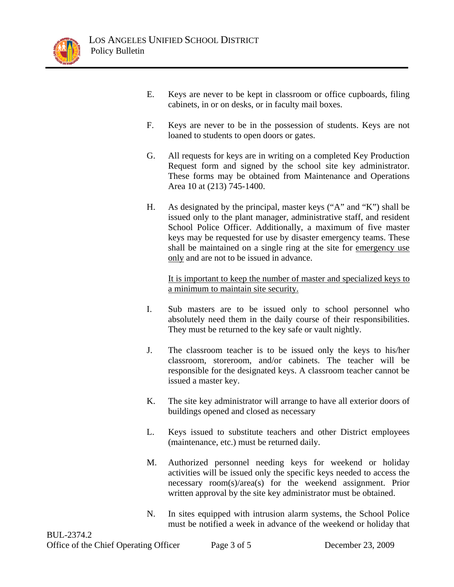

- E. Keys are never to be kept in classroom or office cupboards, filing cabinets, in or on desks, or in faculty mail boxes.
- F. Keys are never to be in the possession of students. Keys are not loaned to students to open doors or gates.
- G. All requests for keys are in writing on a completed Key Production Request form and signed by the school site key administrator. These forms may be obtained from Maintenance and Operations Area 10 at (213) 745-1400.
- H. As designated by the principal, master keys ("A" and "K") shall be issued only to the plant manager, administrative staff, and resident School Police Officer. Additionally, a maximum of five master keys may be requested for use by disaster emergency teams. These shall be maintained on a single ring at the site for emergency use only and are not to be issued in advance.

It is important to keep the number of master and specialized keys to a minimum to maintain site security.

- I. Sub masters are to be issued only to school personnel who absolutely need them in the daily course of their responsibilities. They must be returned to the key safe or vault nightly.
- J. The classroom teacher is to be issued only the keys to his/her classroom, storeroom, and/or cabinets. The teacher will be responsible for the designated keys. A classroom teacher cannot be issued a master key.
- K. The site key administrator will arrange to have all exterior doors of buildings opened and closed as necessary
- L. Keys issued to substitute teachers and other District employees (maintenance, etc.) must be returned daily.
- M. Authorized personnel needing keys for weekend or holiday activities will be issued only the specific keys needed to access the necessary room(s)/area(s) for the weekend assignment. Prior written approval by the site key administrator must be obtained.
- N. In sites equipped with intrusion alarm systems, the School Police must be notified a week in advance of the weekend or holiday that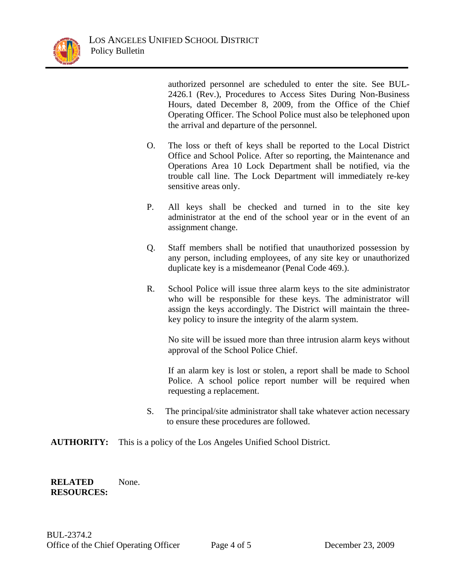

authorized personnel are scheduled to enter the site. See BUL-2426.1 (Rev.), Procedures to Access Sites During Non-Business Hours, dated December 8, 2009, from the Office of the Chief Operating Officer. The School Police must also be telephoned upon the arrival and departure of the personnel.

- O. The loss or theft of keys shall be reported to the Local District Office and School Police. After so reporting, the Maintenance and Operations Area 10 Lock Department shall be notified, via the trouble call line. The Lock Department will immediately re-key sensitive areas only.
- P. All keys shall be checked and turned in to the site key administrator at the end of the school year or in the event of an assignment change.
- Q. Staff members shall be notified that unauthorized possession by any person, including employees, of any site key or unauthorized duplicate key is a misdemeanor (Penal Code 469.).
- R. School Police will issue three alarm keys to the site administrator who will be responsible for these keys. The administrator will assign the keys accordingly. The District will maintain the threekey policy to insure the integrity of the alarm system.

No site will be issued more than three intrusion alarm keys without approval of the School Police Chief.

If an alarm key is lost or stolen, a report shall be made to School Police. A school police report number will be required when requesting a replacement.

- S. The principal/site administrator shall take whatever action necessary to ensure these procedures are followed.
- **AUTHORITY:** This is a policy of the Los Angeles Unified School District.

## **RELATED RESOURCES:**  None.